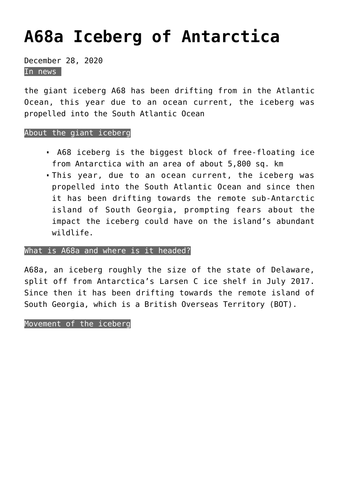# **[A68a Iceberg of Antarctica](https://journalsofindia.com/a68a-iceberg-of-antarctica/)**

December 28, 2020 In news

the giant iceberg A68 has been drifting from in the Atlantic Ocean, this year due to an ocean current, the iceberg was propelled into the South Atlantic Ocean

# About the giant iceberg

- A68 iceberg is the biggest block of free-floating ice from Antarctica with an area of about 5,800 sq. km
- This year, due to an ocean current, the iceberg was propelled into the South Atlantic Ocean and since then it has been drifting towards the remote sub-Antarctic island of South Georgia, prompting fears about the impact the iceberg could have on the island's abundant wildlife.

# What is A68a and where is it headed?

A68a, an iceberg roughly the size of the state of Delaware, split off from Antarctica's Larsen C ice shelf in July 2017. Since then it has been drifting towards the remote island of South Georgia, which is a British Overseas Territory (BOT).

Movement of the iceberg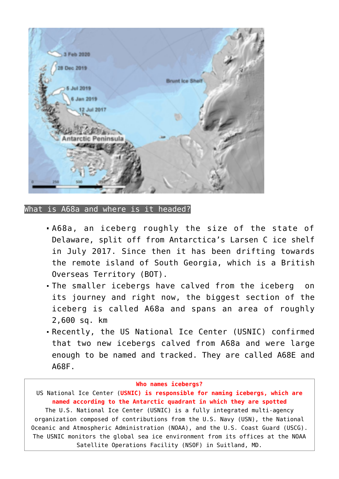

What is A68a and where is it headed?

- A68a, an iceberg roughly the size of the state of Delaware, split off from Antarctica's Larsen C ice shelf in July 2017. Since then it has been drifting towards the remote island of South Georgia, which is a British Overseas Territory (BOT).
- The smaller icebergs have calved from the iceberg on its journey and right now, the biggest section of the iceberg is called A68a and spans an area of roughly 2,600 sq. km
- Recently, the US National Ice Center (USNIC) confirmed that two new icebergs calved from A68a and were large enough to be named and tracked. They are called A68E and A68F.

#### **Who names icebergs?**

US National Ice Center (**USNIC) is responsible for naming icebergs, which are named according to the Antarctic quadrant in which they are spotted** The U.S. National Ice Center (USNIC) is a fully integrated multi-agency organization composed of contributions from the U.S. Navy (USN), the National Oceanic and Atmospheric Administration (NOAA), and the U.S. Coast Guard (USCG). The USNIC monitors the global sea ice environment from its offices at the NOAA Satellite Operations Facility (NSOF) in Suitland, MD.